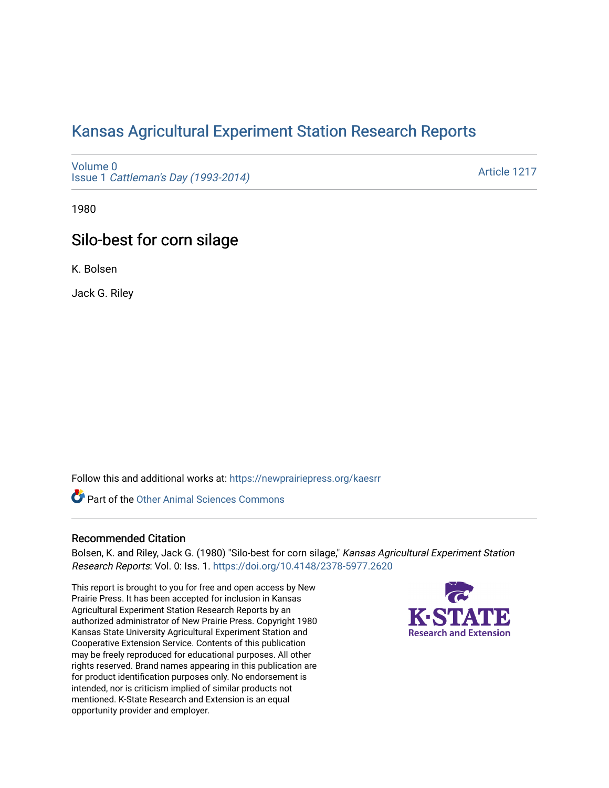# [Kansas Agricultural Experiment Station Research Reports](https://newprairiepress.org/kaesrr)

[Volume 0](https://newprairiepress.org/kaesrr/vol0) Issue 1 [Cattleman's Day \(1993-2014\)](https://newprairiepress.org/kaesrr/vol0/iss1) 

[Article 1217](https://newprairiepress.org/kaesrr/vol0/iss1/1217) 

1980

# Silo-best for corn silage

K. Bolsen

Jack G. Riley

Follow this and additional works at: [https://newprairiepress.org/kaesrr](https://newprairiepress.org/kaesrr?utm_source=newprairiepress.org%2Fkaesrr%2Fvol0%2Fiss1%2F1217&utm_medium=PDF&utm_campaign=PDFCoverPages) 

Part of the [Other Animal Sciences Commons](http://network.bepress.com/hgg/discipline/82?utm_source=newprairiepress.org%2Fkaesrr%2Fvol0%2Fiss1%2F1217&utm_medium=PDF&utm_campaign=PDFCoverPages)

#### Recommended Citation

Bolsen, K. and Riley, Jack G. (1980) "Silo-best for corn silage," Kansas Agricultural Experiment Station Research Reports: Vol. 0: Iss. 1.<https://doi.org/10.4148/2378-5977.2620>

This report is brought to you for free and open access by New Prairie Press. It has been accepted for inclusion in Kansas Agricultural Experiment Station Research Reports by an authorized administrator of New Prairie Press. Copyright 1980 Kansas State University Agricultural Experiment Station and Cooperative Extension Service. Contents of this publication may be freely reproduced for educational purposes. All other rights reserved. Brand names appearing in this publication are for product identification purposes only. No endorsement is intended, nor is criticism implied of similar products not mentioned. K-State Research and Extension is an equal opportunity provider and employer.

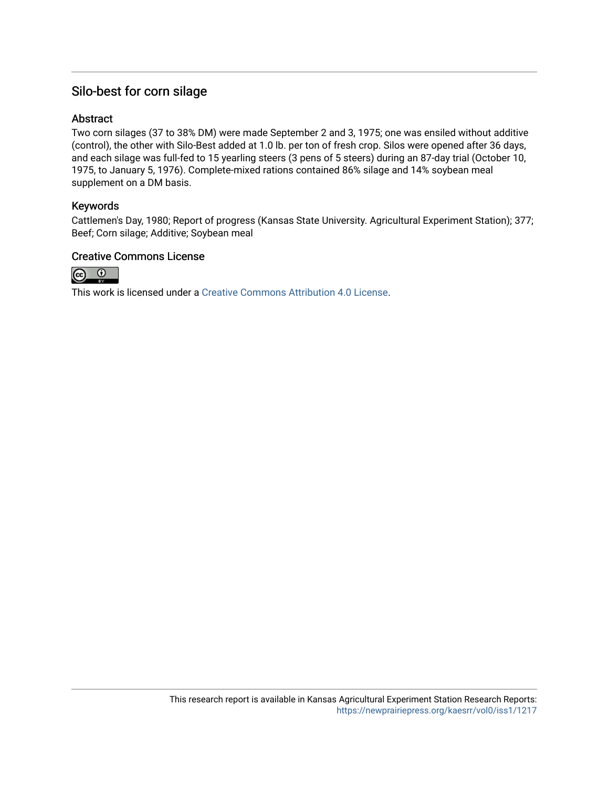## Silo-best for corn silage

### **Abstract**

Two corn silages (37 to 38% DM) were made September 2 and 3, 1975; one was ensiled without additive (control), the other with Silo-Best added at 1.0 lb. per ton of fresh crop. Silos were opened after 36 days, and each silage was full-fed to 15 yearling steers (3 pens of 5 steers) during an 87-day trial (October 10, 1975, to January 5, 1976). Complete-mixed rations contained 86% silage and 14% soybean meal supplement on a DM basis.

### Keywords

Cattlemen's Day, 1980; Report of progress (Kansas State University. Agricultural Experiment Station); 377; Beef; Corn silage; Additive; Soybean meal

#### Creative Commons License



This work is licensed under a [Creative Commons Attribution 4.0 License](https://creativecommons.org/licenses/by/4.0/).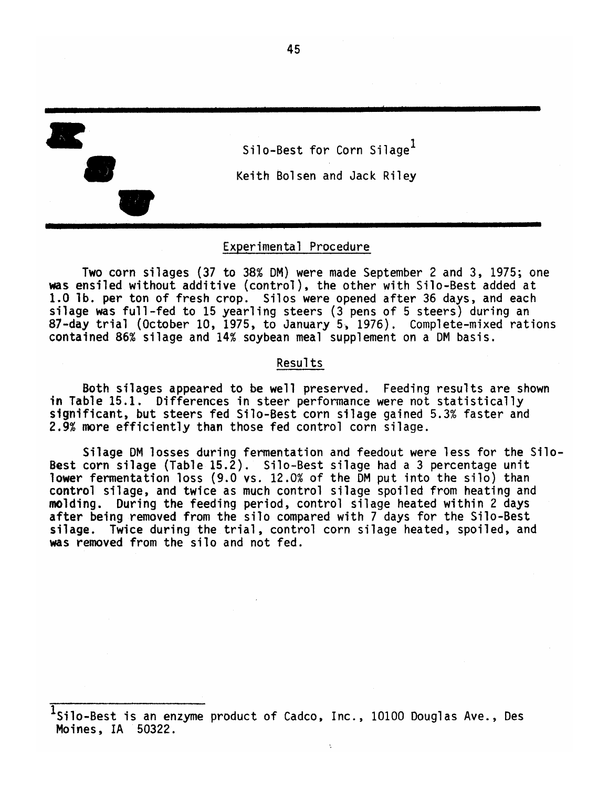

Silo-Best for Corn Silage<sup>1</sup> Keith Bolsen and Jack Riley

#### Experimental Procedure

Two corn silages (37 to 38% DM) were made September 2 and 3, 1975; one was ensiled without additive (control), the other with Silo-Best added at 1.0 lb. per ton of fresh crop. Silos were opened after 36 days, and each silage was full-fed to 15 yearling steers (3 pens of 5 steers) during an 87-day trial (October 10, 1975, to January 5, 1976). Complete-mixed rations contained 86% silage and 14% soybean meal supplement on a DM basis.

#### Results

Both silages appeared to be well preserved. Feeding results are shown in Table 15.1. Differences in steer performance were not statistically significant, but steers fed Silo-Best corn silage gained 5.3% faster and 2.9% more efficiently than those fed control corn silage.

Silage DM losses during fermentation and feedout were less for the Silo-Best corn silage (Table 15.2). Silo-Best silage had a 3 percentage unit Tower fermentation loss (9.0 vs. 12.0% of the DM put into the silo) than control silage, and twice as much control silage spoiled from heating and molding. During the feeding period, control silage heated within 2 days after being removed from the silo compared with 7 days for the Silo-Best silage. Twice during the trial, control corn silage heated, spoiled, and was removed from the silo and not fed.

 $^1$ Silo-Best is an enzyme product of Cadco, Inc., 10100 Douglas Ave., Des Moines, IA 50322.